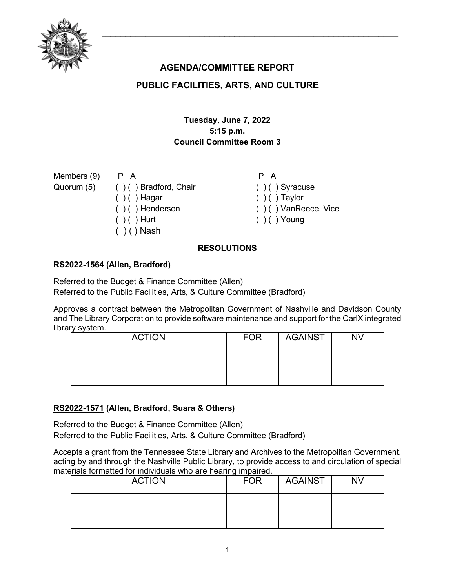

# **AGENDA/COMMITTEE REPORT**

## **PUBLIC FACILITIES, ARTS, AND CULTURE**

## **Tuesday, June 7, 2022 5:15 p.m. Council Committee Room 3**

Members (9) Quorum (5)

P A ( ) ( ) Bradford, Chair  $( ) ( )$  Hagar ( ) ( ) Henderson  $( )$  ( ) Hurt  $( )$  ( ) Nash

P A  $( ) ( )$  Syracuse  $( ) ( )$  Taylor ( ) ( ) VanReece, Vice  $( ) ( )$  Young

### **RESOLUTIONS**

### **[RS2022-1564](http://nashville.legistar.com/gateway.aspx?m=l&id=/matter.aspx?key=14582) (Allen, Bradford)**

Referred to the Budget & Finance Committee (Allen) Referred to the Public Facilities, Arts, & Culture Committee (Bradford)

Approves a contract between the Metropolitan Government of Nashville and Davidson County and The Library Corporation to provide software maintenance and support for the CarlX integrated library system.

| <b>ACTION</b> | <b>FOR</b> | <b>AGAINST</b> | <b>NV</b> |
|---------------|------------|----------------|-----------|
|               |            |                |           |
|               |            |                |           |

### **[RS2022-1571](http://nashville.legistar.com/gateway.aspx?m=l&id=/matter.aspx?key=14542) (Allen, Bradford, Suara & Others)**

Referred to the Budget & Finance Committee (Allen) Referred to the Public Facilities, Arts, & Culture Committee (Bradford)

Accepts a grant from the Tennessee State Library and Archives to the Metropolitan Government, acting by and through the Nashville Public Library, to provide access to and circulation of special materials formatted for individuals who are hearing impaired.

| <b>ACTION</b> | <b>FOR</b> | AGAINST | <b>NV</b> |
|---------------|------------|---------|-----------|
|               |            |         |           |
|               |            |         |           |